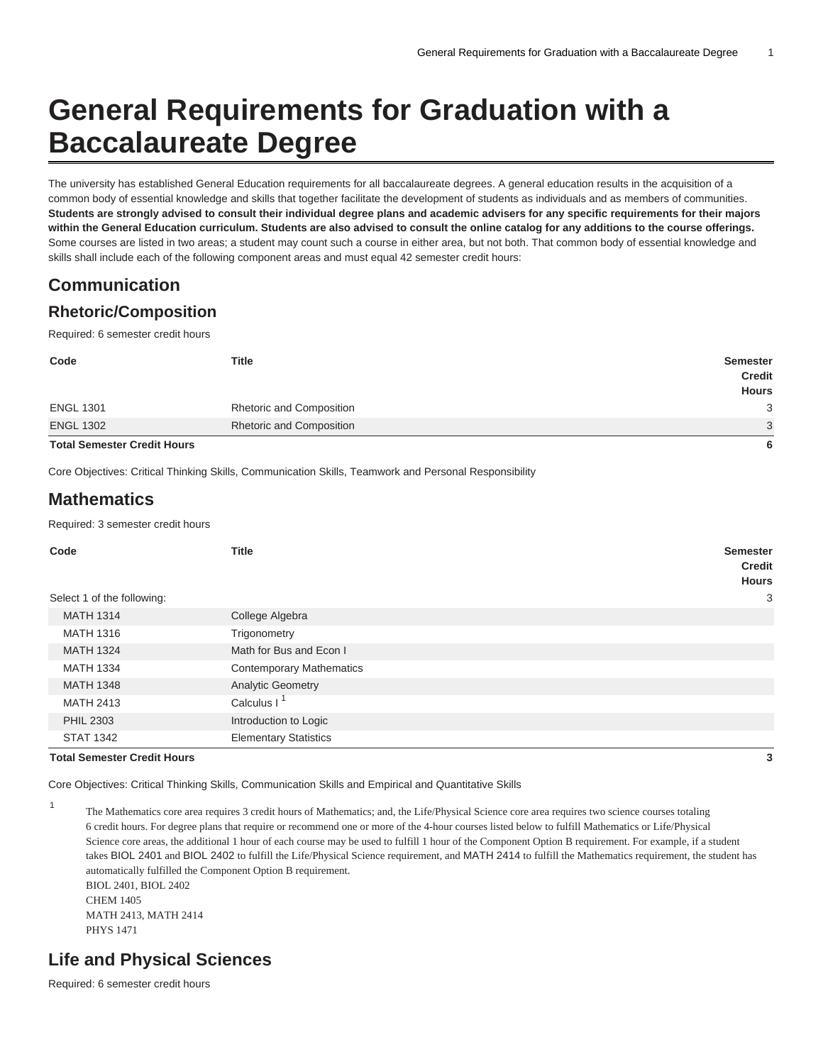# **General Requirements for Graduation with a Baccalaureate Degree**

The university has established General Education requirements for all baccalaureate degrees. A general education results in the acquisition of a common body of essential knowledge and skills that together facilitate the development of students as individuals and as members of communities. **Students are strongly advised to consult their individual degree plans and academic advisers for any specific requirements for their majors within the General Education curriculum. Students are also advised to consult the online catalog for any additions to the course offerings.** Some courses are listed in two areas; a student may count such a course in either area, but not both. That common body of essential knowledge and skills shall include each of the following component areas and must equal 42 semester credit hours:

## **Communication**

#### **Rhetoric/Composition**

Required: 6 semester credit hours

| <b>Total Semester Credit Hours</b> |                                 | 6                                                |
|------------------------------------|---------------------------------|--------------------------------------------------|
| <b>ENGL 1302</b>                   | <b>Rhetoric and Composition</b> | 3                                                |
| <b>ENGL 1301</b>                   | <b>Rhetoric and Composition</b> | 3                                                |
| Code                               | <b>Title</b>                    | <b>Semester</b><br><b>Credit</b><br><b>Hours</b> |
|                                    |                                 |                                                  |

Core Objectives: Critical Thinking Skills, Communication Skills, Teamwork and Personal Responsibility

### **Mathematics**

Required: 3 semester credit hours

| Code                               | <b>Title</b>                    | <b>Semester</b><br><b>Credit</b><br><b>Hours</b> |
|------------------------------------|---------------------------------|--------------------------------------------------|
| Select 1 of the following:         |                                 | 3                                                |
| <b>MATH 1314</b>                   | College Algebra                 |                                                  |
| <b>MATH 1316</b>                   | Trigonometry                    |                                                  |
| <b>MATH 1324</b>                   | Math for Bus and Econ I         |                                                  |
| <b>MATH 1334</b>                   | <b>Contemporary Mathematics</b> |                                                  |
| <b>MATH 1348</b>                   | <b>Analytic Geometry</b>        |                                                  |
| <b>MATH 2413</b>                   | Calculus I <sup>1</sup>         |                                                  |
| <b>PHIL 2303</b>                   | Introduction to Logic           |                                                  |
| <b>STAT 1342</b>                   | <b>Elementary Statistics</b>    |                                                  |
| <b>Total Semester Credit Hours</b> |                                 | 3                                                |

1

Core Objectives: Critical Thinking Skills, Communication Skills and Empirical and Quantitative Skills

The Mathematics core area requires 3 credit hours of Mathematics; and, the Life/Physical Science core area requires two science courses totaling 6 credit hours. For degree plans that require or recommend one or more of the 4-hour courses listed below to fulfill Mathematics or Life/Physical Science core areas, the additional 1 hour of each course may be used to fulfill 1 hour of the Component Option B requirement. For example, if a student takes BIOL 2401 and BIOL 2402 to fulfill the Life/Physical Science requirement, and MATH 2414 to fulfill the Mathematics requirement, the student has automatically fulfilled the Component Option B requirement. BIOL 2401, BIOL 2402 CHEM 1405 MATH 2413, MATH 2414 PHYS 1471

### **Life and Physical Sciences**

Required: 6 semester credit hours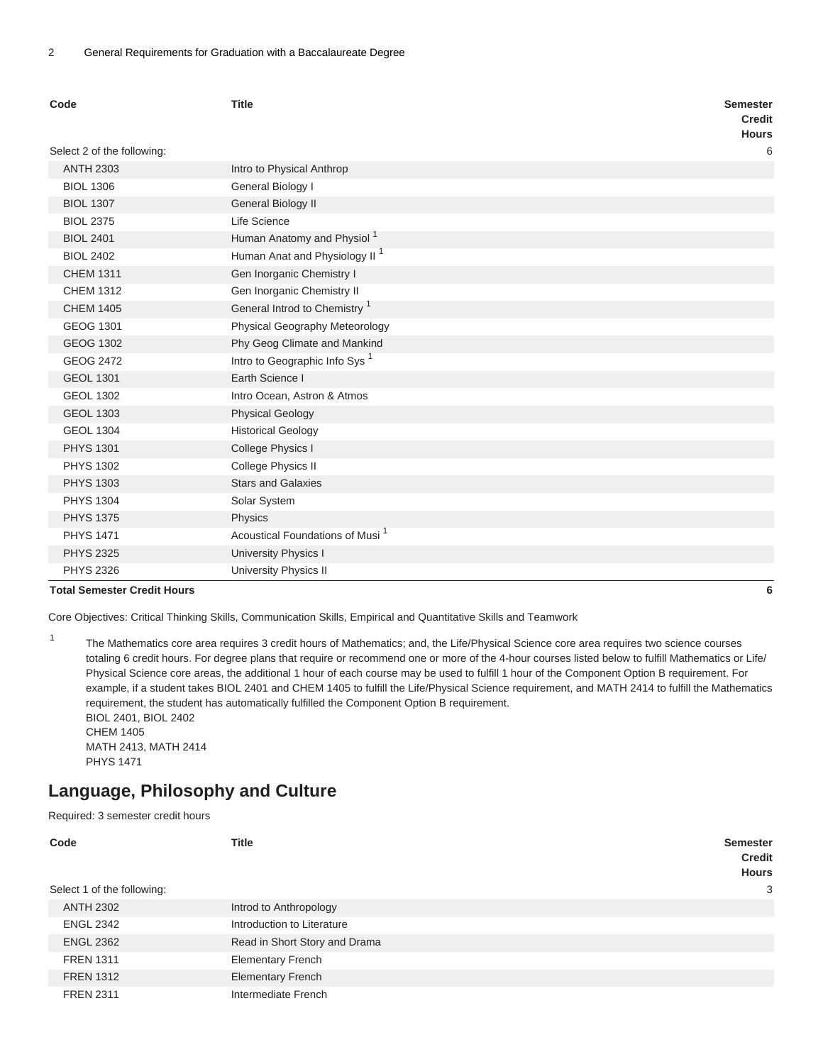| Code                               | <b>Title</b>                                | <b>Semester</b><br><b>Credit</b><br><b>Hours</b> |
|------------------------------------|---------------------------------------------|--------------------------------------------------|
| Select 2 of the following:         |                                             | 6                                                |
| <b>ANTH 2303</b>                   | Intro to Physical Anthrop                   |                                                  |
| <b>BIOL 1306</b>                   | General Biology I                           |                                                  |
| <b>BIOL 1307</b>                   | General Biology II                          |                                                  |
| <b>BIOL 2375</b>                   | Life Science                                |                                                  |
| <b>BIOL 2401</b>                   | Human Anatomy and Physiol <sup>1</sup>      |                                                  |
| <b>BIOL 2402</b>                   | Human Anat and Physiology II <sup>1</sup>   |                                                  |
| <b>CHEM 1311</b>                   | Gen Inorganic Chemistry I                   |                                                  |
| <b>CHEM 1312</b>                   | Gen Inorganic Chemistry II                  |                                                  |
| <b>CHEM 1405</b>                   | General Introd to Chemistry <sup>1</sup>    |                                                  |
| <b>GEOG 1301</b>                   | Physical Geography Meteorology              |                                                  |
| <b>GEOG 1302</b>                   | Phy Geog Climate and Mankind                |                                                  |
| <b>GEOG 2472</b>                   | Intro to Geographic Info Sys <sup>1</sup>   |                                                  |
| <b>GEOL 1301</b>                   | Earth Science I                             |                                                  |
| <b>GEOL 1302</b>                   | Intro Ocean, Astron & Atmos                 |                                                  |
| <b>GEOL 1303</b>                   | <b>Physical Geology</b>                     |                                                  |
| <b>GEOL 1304</b>                   | <b>Historical Geology</b>                   |                                                  |
| <b>PHYS 1301</b>                   | College Physics I                           |                                                  |
| <b>PHYS 1302</b>                   | College Physics II                          |                                                  |
| <b>PHYS 1303</b>                   | <b>Stars and Galaxies</b>                   |                                                  |
| <b>PHYS 1304</b>                   | Solar System                                |                                                  |
| <b>PHYS 1375</b>                   | Physics                                     |                                                  |
| <b>PHYS 1471</b>                   | Acoustical Foundations of Musi <sup>1</sup> |                                                  |
| <b>PHYS 2325</b>                   | University Physics I                        |                                                  |
| <b>PHYS 2326</b>                   | <b>University Physics II</b>                |                                                  |
| <b>Total Semester Credit Hours</b> |                                             | 6                                                |

1

Core Objectives: Critical Thinking Skills, Communication Skills, Empirical and Quantitative Skills and Teamwork

The Mathematics core area requires 3 credit hours of Mathematics; and, the Life/Physical Science core area requires two science courses totaling 6 credit hours. For degree plans that require or recommend one or more of the 4-hour courses listed below to fulfill Mathematics or Life/ Physical Science core areas, the additional 1 hour of each course may be used to fulfill 1 hour of the Component Option B requirement. For example, if a student takes BIOL 2401 and CHEM 1405 to fulfill the Life/Physical Science requirement, and MATH 2414 to fulfill the Mathematics requirement, the student has automatically fulfilled the Component Option B requirement. BIOL 2401, BIOL 2402

CHEM 1405 MATH 2413, MATH 2414 PHYS 1471

#### **Language, Philosophy and Culture**

Required: 3 semester credit hours

| Code                       | <b>Title</b>                  | <b>Semester</b><br><b>Credit</b><br><b>Hours</b> |
|----------------------------|-------------------------------|--------------------------------------------------|
| Select 1 of the following: |                               | 3                                                |
| <b>ANTH 2302</b>           | Introd to Anthropology        |                                                  |
| <b>ENGL 2342</b>           | Introduction to Literature    |                                                  |
| <b>ENGL 2362</b>           | Read in Short Story and Drama |                                                  |
| <b>FREN 1311</b>           | <b>Elementary French</b>      |                                                  |
| <b>FREN 1312</b>           | <b>Elementary French</b>      |                                                  |
| <b>FREN 2311</b>           | Intermediate French           |                                                  |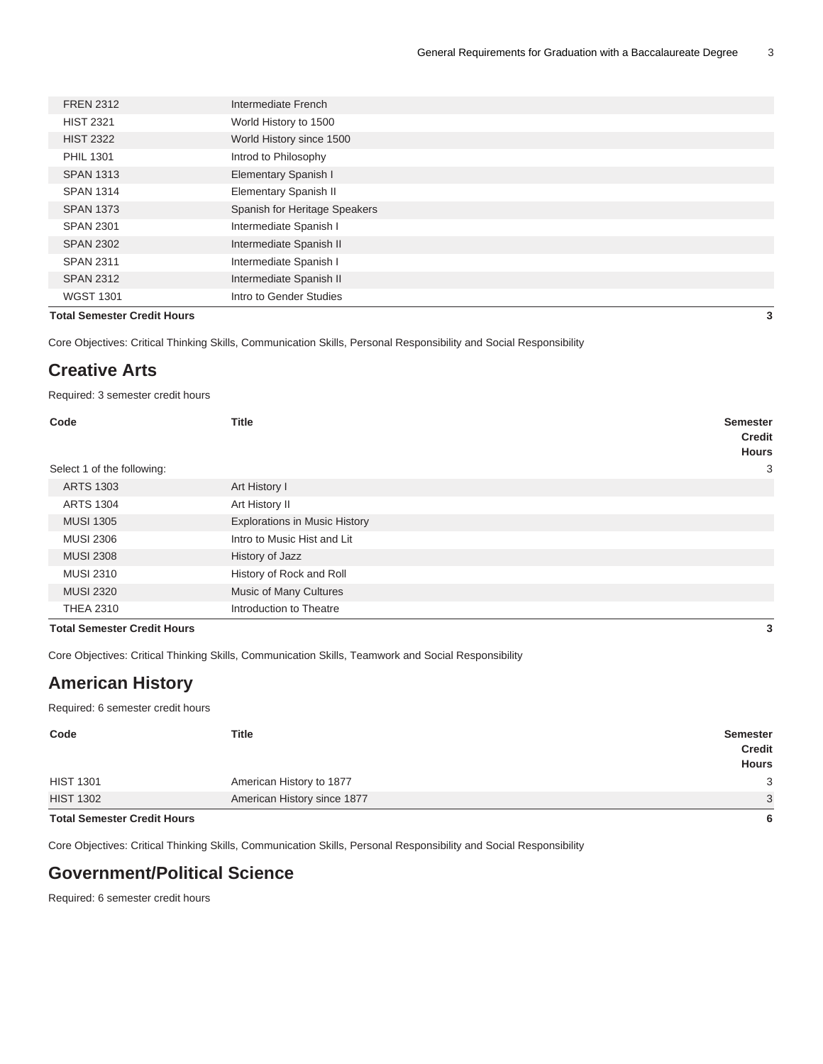| <b>Total Semester Credit Hours</b> |                               | 3 |
|------------------------------------|-------------------------------|---|
| <b>WGST 1301</b>                   | Intro to Gender Studies       |   |
| <b>SPAN 2312</b>                   | Intermediate Spanish II       |   |
| <b>SPAN 2311</b>                   | Intermediate Spanish I        |   |
| <b>SPAN 2302</b>                   | Intermediate Spanish II       |   |
| <b>SPAN 2301</b>                   | Intermediate Spanish I        |   |
| <b>SPAN 1373</b>                   | Spanish for Heritage Speakers |   |
| <b>SPAN 1314</b>                   | <b>Elementary Spanish II</b>  |   |
| <b>SPAN 1313</b>                   | <b>Elementary Spanish I</b>   |   |
| <b>PHIL 1301</b>                   | Introd to Philosophy          |   |
| <b>HIST 2322</b>                   | World History since 1500      |   |
| <b>HIST 2321</b>                   | World History to 1500         |   |
| <b>FREN 2312</b>                   | Intermediate French           |   |
|                                    |                               |   |

Core Objectives: Critical Thinking Skills, Communication Skills, Personal Responsibility and Social Responsibility

#### **Creative Arts**

Required: 3 semester credit hours

| Code<br>Select 1 of the following: | <b>Title</b>                         | <b>Semester</b><br><b>Credit</b><br><b>Hours</b><br>3 |
|------------------------------------|--------------------------------------|-------------------------------------------------------|
| <b>ARTS 1303</b>                   | Art History I                        |                                                       |
| <b>ARTS 1304</b>                   | Art History II                       |                                                       |
| <b>MUSI 1305</b>                   | <b>Explorations in Music History</b> |                                                       |
| <b>MUSI 2306</b>                   | Intro to Music Hist and Lit          |                                                       |
| <b>MUSI 2308</b>                   | History of Jazz                      |                                                       |
| <b>MUSI 2310</b>                   | History of Rock and Roll             |                                                       |
| <b>MUSI 2320</b>                   | Music of Many Cultures               |                                                       |
| <b>THEA 2310</b>                   | Introduction to Theatre              |                                                       |
| <b>Total Semester Credit Hours</b> |                                      |                                                       |

Core Objectives: Critical Thinking Skills, Communication Skills, Teamwork and Social Responsibility

#### **American History**

Required: 6 semester credit hours

| Code                               | <b>Title</b>                | <b>Semester</b><br><b>Credit</b><br><b>Hours</b> |
|------------------------------------|-----------------------------|--------------------------------------------------|
| <b>HIST 1301</b>                   | American History to 1877    | 3                                                |
| <b>HIST 1302</b>                   | American History since 1877 | 3                                                |
| <b>Total Semester Credit Hours</b> |                             | ĥ                                                |

#### **Total Semester Credit Hours 6**

Core Objectives: Critical Thinking Skills, Communication Skills, Personal Responsibility and Social Responsibility

#### **Government/Political Science**

Required: 6 semester credit hours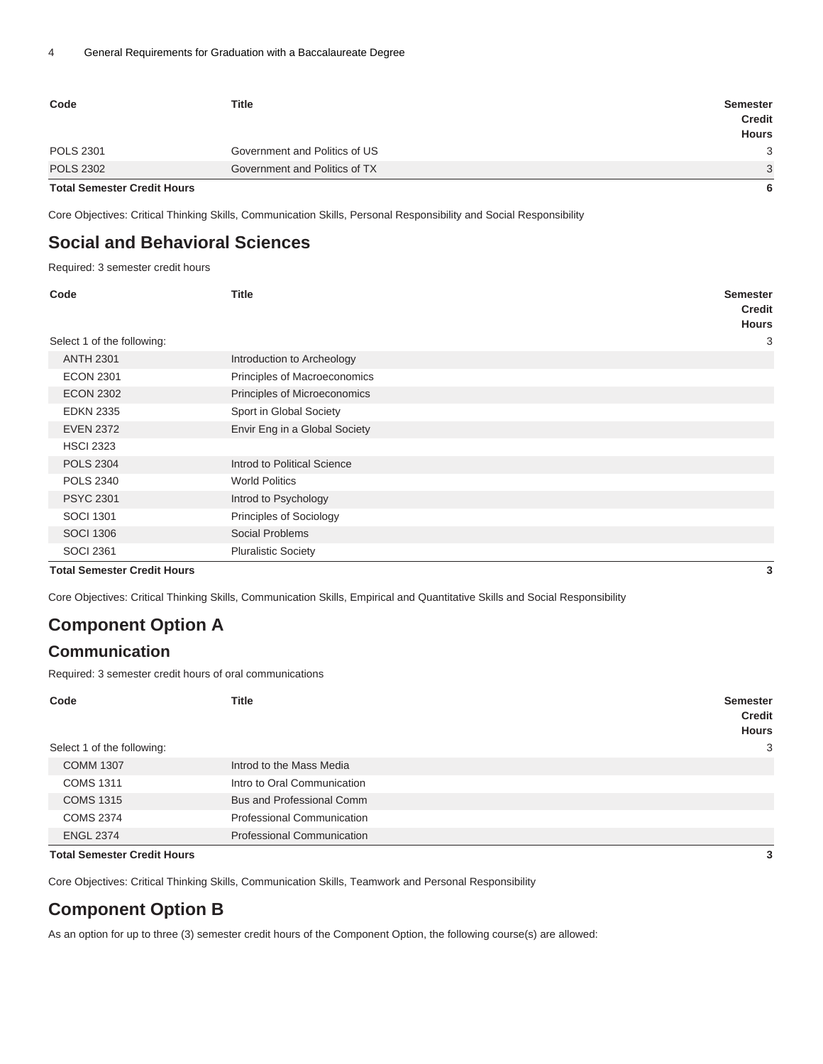| Code                               | <b>Title</b>                  | <b>Semester</b><br><b>Credit</b><br><b>Hours</b> |
|------------------------------------|-------------------------------|--------------------------------------------------|
| <b>POLS 2301</b>                   | Government and Politics of US | 3                                                |
| <b>POLS 2302</b>                   | Government and Politics of TX | 3                                                |
| <b>Total Semester Credit Hours</b> |                               | 6                                                |

Core Objectives: Critical Thinking Skills, Communication Skills, Personal Responsibility and Social Responsibility

### **Social and Behavioral Sciences**

Required: 3 semester credit hours

| Code                               | <b>Title</b>                  | <b>Semester</b><br><b>Credit</b><br><b>Hours</b> |  |
|------------------------------------|-------------------------------|--------------------------------------------------|--|
| Select 1 of the following:         |                               | 3                                                |  |
| <b>ANTH 2301</b>                   | Introduction to Archeology    |                                                  |  |
| <b>ECON 2301</b>                   | Principles of Macroeconomics  |                                                  |  |
| <b>ECON 2302</b>                   | Principles of Microeconomics  |                                                  |  |
| <b>EDKN 2335</b>                   | Sport in Global Society       |                                                  |  |
| <b>EVEN 2372</b>                   | Envir Eng in a Global Society |                                                  |  |
| <b>HSCI 2323</b>                   |                               |                                                  |  |
| <b>POLS 2304</b>                   | Introd to Political Science   |                                                  |  |
| <b>POLS 2340</b>                   | <b>World Politics</b>         |                                                  |  |
| <b>PSYC 2301</b>                   | Introd to Psychology          |                                                  |  |
| <b>SOCI 1301</b>                   | Principles of Sociology       |                                                  |  |
| <b>SOCI 1306</b>                   | Social Problems               |                                                  |  |
| <b>SOCI 2361</b>                   | <b>Pluralistic Society</b>    |                                                  |  |
| <b>Total Semester Credit Hours</b> |                               | 3                                                |  |

Core Objectives: Critical Thinking Skills, Communication Skills, Empirical and Quantitative Skills and Social Responsibility

### **Component Option A**

#### **Communication**

Required: 3 semester credit hours of oral communications

| Code                       | <b>Title</b>                      | <b>Semester</b><br><b>Credit</b><br><b>Hours</b> |
|----------------------------|-----------------------------------|--------------------------------------------------|
| Select 1 of the following: |                                   | 3                                                |
| <b>COMM 1307</b>           | Introd to the Mass Media          |                                                  |
| <b>COMS 1311</b>           | Intro to Oral Communication       |                                                  |
| <b>COMS 1315</b>           | <b>Bus and Professional Comm</b>  |                                                  |
| <b>COMS 2374</b>           | <b>Professional Communication</b> |                                                  |
| <b>ENGL 2374</b>           | <b>Professional Communication</b> |                                                  |

**Total Semester Credit Hours 3**

Core Objectives: Critical Thinking Skills, Communication Skills, Teamwork and Personal Responsibility

#### **Component Option B**

As an option for up to three (3) semester credit hours of the Component Option, the following course(s) are allowed: